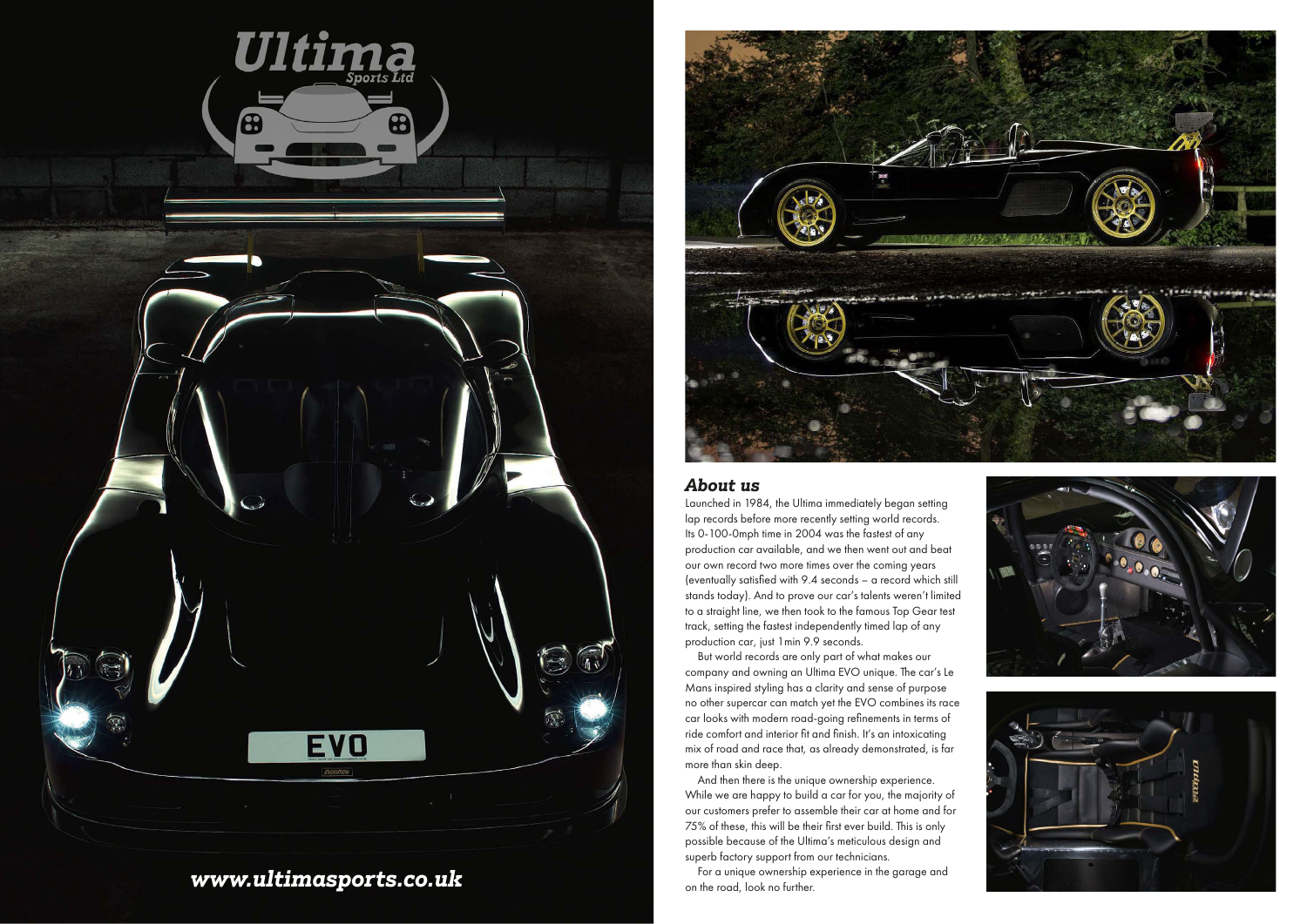

# *www.ultimasports.co.uk*



75% of these, this will be their first ever build. This is only possible because of the Ultima's meticulous design and superb factory support from our technicians.

For a unique ownership experience in the garage and on the road, look no further.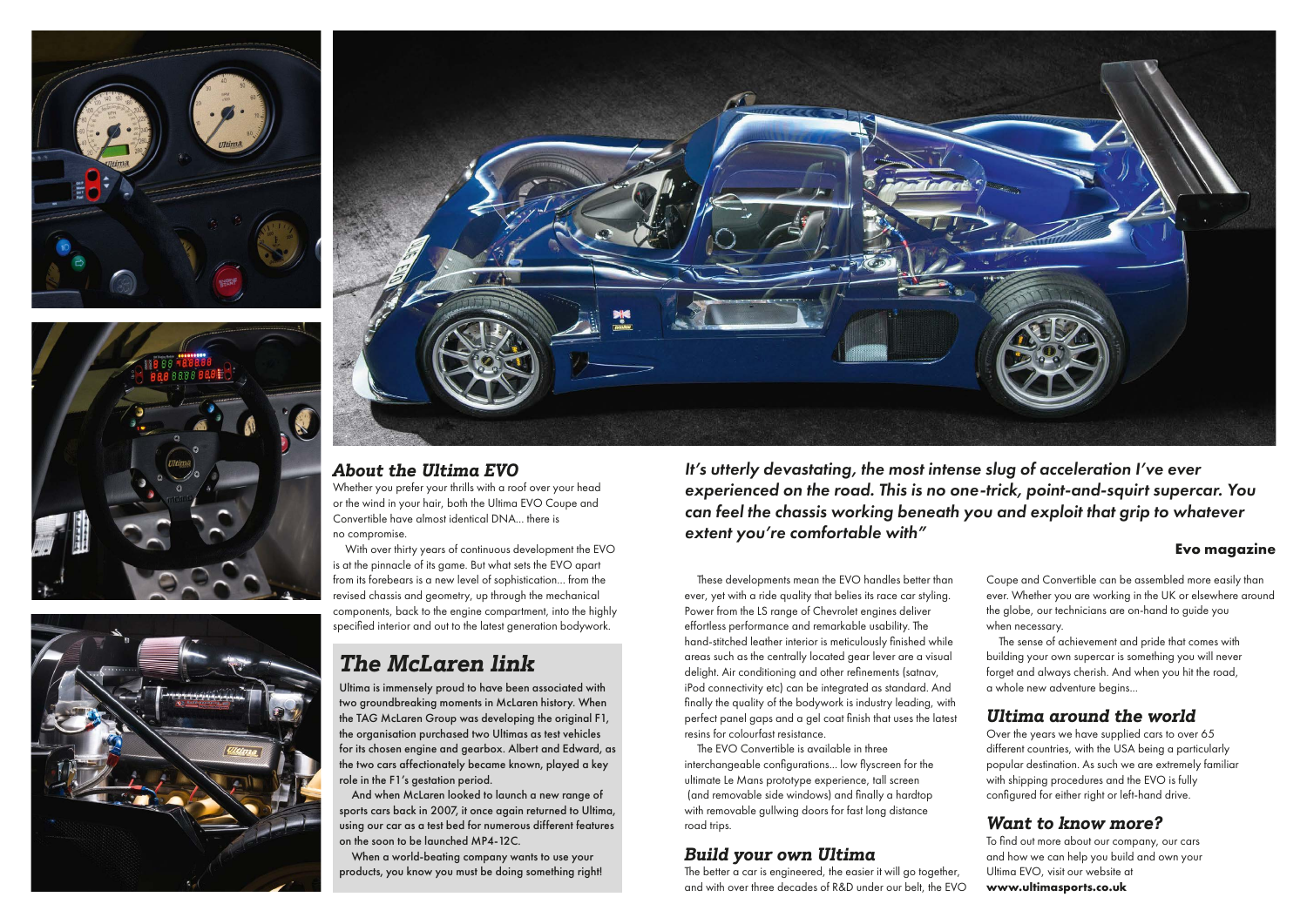







## *About the Ultima EVO*

Whether you prefer your thrills with a roof over your head or the wind in your hair, both the Ultima EVO Coupe and Convertible have almost identical DNA... there is no compromise.

With over thirty years of continuous development the EVO is at the pinnacle of its game. But what sets the EVO apart from its forebears is a new level of sophistication... from the revised chassis and geometry, up through the mechanical components, back to the engine compartment, into the highly specified interior and out to the latest generation bodywork.

Ultima is immensely proud to have been associated with two groundbreaking moments in McLaren history. When the TAG McLaren Group was developing the original F1, the organisation purchased two Ultimas as test vehicles for its chosen engine and gearbox. Albert and Edward, as the two cars affectionately became known, played a key role in the F1's gestation period.

And when McLaren looked to launch a new range of sports cars back in 2007, it once again returned to Ultima, using our car as a test bed for numerous different features on the soon to be launched MP4-12C.

When a world-beating company wants to use your products, you know you must be doing something right!

# *The McLaren link*

These developments mean the EVO handles better than ever, yet with a ride quality that belies its race car styling. Power from the LS range of Chevrolet engines deliver effortless performance and remarkable usability. The hand-stitched leather interior is meticulously finished while areas such as the centrally located gear lever are a visual delight. Air conditioning and other refinements (satnav, iPod connectivity etc) can be integrated as standard. And finally the quality of the bodywork is industry leading, with perfect panel gaps and a gel coat finish that uses the latest resins for colourfast resistance.

The EVO Convertible is available in three interchangeable configurations... low flyscreen for the ultimate Le Mans prototype experience, tall screen (and removable side windows) and finally a hardtop with removable gullwing doors for fast long distance road trips.

It's utterly devastating, the most intense slug of acceleration I've ever experienced on the road. This is no one-trick, point-and-squirt supercar. You can feel the chassis working beneath you and exploit that grip to whatever extent you're comfortable with"

### **Evo magazine**

## *Ultima around the world*

Over the years we have supplied cars to over 65 different countries, with the USA being a particularly popular destination. As such we are extremely familiar with shipping procedures and the EVO is fully configured for either right or left-hand drive.

## *Build your own Ultima*

The better a car is engineered, the easier it will go together, and with over three decades of R&D under our belt, the EVO

Coupe and Convertible can be assembled more easily than ever. Whether you are working in the UK or elsewhere around the globe, our technicians are on-hand to guide you when necessary.

The sense of achievement and pride that comes with building your own supercar is something you will never forget and always cherish. And when you hit the road, a whole new adventure begins...

## *Want to know more?*

To find out more about our company, our cars and how we can help you build and own your Ultima EVO, visit our website at

**www.ultimasports.co.uk**